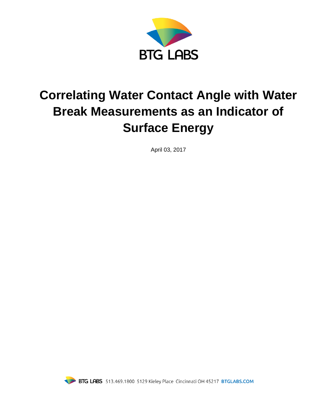

# **Correlating Water Contact Angle with Water Break Measurements as an Indicator of Surface Energy**

April 03, 2017

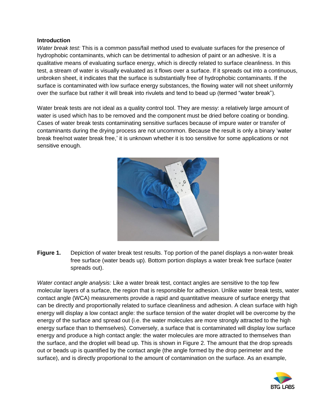#### **Introduction**

*Water break test:* This is a common pass/fail method used to evaluate surfaces for the presence of hydrophobic contaminants, which can be detrimental to adhesion of paint or an adhesive. It is a qualitative means of evaluating surface energy, which is directly related to surface cleanliness. In this test, a stream of water is visually evaluated as it flows over a surface. If it spreads out into a continuous, unbroken sheet, it indicates that the surface is substantially free of hydrophobic contaminants. If the surface is contaminated with low surface energy substances, the flowing water will not sheet uniformly over the surface but rather it will break into rivulets and tend to bead up (termed "water break").

Water break tests are not ideal as a quality control tool. They are messy: a relatively large amount of water is used which has to be removed and the component must be dried before coating or bonding. Cases of water break tests contaminating sensitive surfaces because of impure water or transfer of contaminants during the drying process are not uncommon. Because the result is only a binary 'water break free/not water break free,' it is unknown whether it is too sensitive for some applications or not sensitive enough.



**Figure 1.** Depiction of water break test results. Top portion of the panel displays a non-water break free surface (water beads up). Bottom portion displays a water break free surface (water spreads out).

*Water contact angle analysis:* Like a water break test, contact angles are sensitive to the top few molecular layers of a surface, the region that is responsible for adhesion. Unlike water break tests, water contact angle (WCA) measurements provide a rapid and quantitative measure of surface energy that can be directly and proportionally related to surface cleanliness and adhesion. A clean surface with high energy will display a low contact angle: the surface tension of the water droplet will be overcome by the energy of the surface and spread out (i.e. the water molecules are more strongly attracted to the high energy surface than to themselves). Conversely, a surface that is contaminated will display low surface energy and produce a high contact angle: the water molecules are more attracted to themselves than the surface, and the droplet will bead up. This is shown in Figure 2. The amount that the drop spreads out or beads up is quantified by the contact angle (the angle formed by the drop perimeter and the surface), and is directly proportional to the amount of contamination on the surface. As an example,

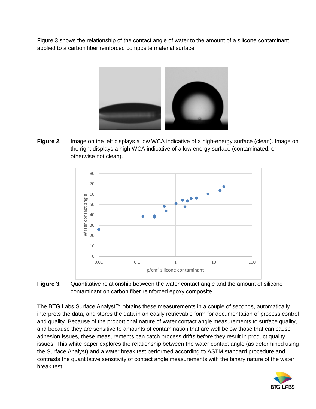Figure 3 shows the relationship of the contact angle of water to the amount of a silicone contaminant applied to a carbon fiber reinforced composite material surface.



**Figure 2.** Image on the left displays a low WCA indicative of a high-energy surface (clean). Image on the right displays a high WCA indicative of a low energy surface (contaminated, or otherwise not clean).



**Figure 3.** Quantitative relationship between the water contact angle and the amount of silicone contaminant on carbon fiber reinforced epoxy composite.

The BTG Labs Surface Analyst™ obtains these measurements in a couple of seconds, automatically interprets the data, and stores the data in an easily retrievable form for documentation of process control and quality. Because of the proportional nature of water contact angle measurements to surface quality, and because they are sensitive to amounts of contamination that are well below those that can cause adhesion issues, these measurements can catch process drifts *before* they result in product quality issues. This white paper explores the relationship between the water contact angle (as determined using the Surface Analyst) and a water break test performed according to ASTM standard procedure and contrasts the quantitative sensitivity of contact angle measurements with the binary nature of the water break test.

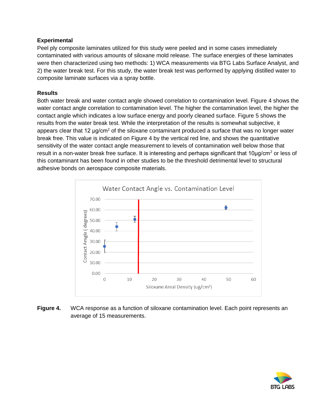### **Experimental**

Peel ply composite laminates utilized for this study were peeled and in some cases immediately contaminated with various amounts of siloxane mold release. The surface energies of these laminates were then characterized using two methods: 1) WCA measurements via BTG Labs Surface Analyst, and 2) the water break test. For this study, the water break test was performed by applying distilled water to composite laminate surfaces via a spray bottle.

## **Results**

Both water break and water contact angle showed correlation to contamination level. Figure 4 shows the water contact angle correlation to contamination level. The higher the contamination level, the higher the contact angle which indicates a low surface energy and poorly cleaned surface. Figure 5 shows the results from the water break test. While the interpretation of the results is somewhat subjective, it appears clear that 12 µg/cm<sup>2</sup> of the siloxane contaminant produced a surface that was no longer water break free. This value is indicated on Figure 4 by the vertical red line, and shows the quantitative sensitivity of the water contact angle measurement to levels of contamination well below those that result in a non-water break free surface. It is interesting and perhaps significant that 10μg/cm<sup>2</sup> or less of this contaminant has been found in other studies to be the threshold detrimental level to structural adhesive bonds on aerospace composite materials.



**Figure 4.** WCA response as a function of siloxane contamination level. Each point represents an average of 15 measurements.